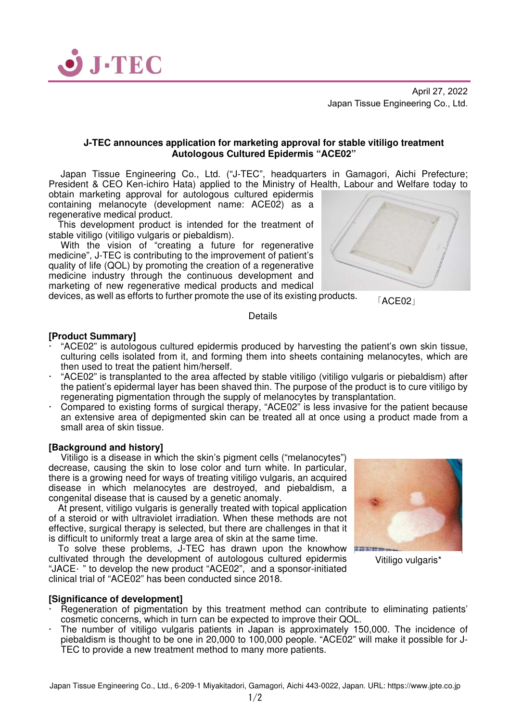

April 27, 2022 Japan Tissue Engineering Co., Ltd.

## **J-TEC announces application for marketing approval for stable vitiligo treatment Autologous Cultured Epidermis "ACE02"**

 Japan Tissue Engineering Co., Ltd. ("J-TEC", headquarters in Gamagori, Aichi Prefecture; President & CEO Ken-ichiro Hata) applied to the Ministry of Health, Labour and Welfare today to

obtain marketing approval for autologous cultured epidermis containing melanocyte (development name: ACE02) as a regenerative medical product.

This development product is intended for the treatment of stable vitiligo (vitiligo vulgaris or piebaldism).

With the vision of "creating a future for regenerative medicine", J-TEC is contributing to the improvement of patient's quality of life (QOL) by promoting the creation of a regenerative medicine industry through the continuous development and marketing of new regenerative medical products and medical

devices, as well as efforts to further promote the use of its existing products.

「ACE02」

**Details** 

## **[Product Summary]**

- "ACE02" is autologous cultured epidermis produced by harvesting the patient's own skin tissue, culturing cells isolated from it, and forming them into sheets containing melanocytes, which are then used to treat the patient him/herself.
- "ACE02" is transplanted to the area affected by stable vitiligo (vitiligo vulgaris or piebaldism) after the patient's epidermal layer has been shaved thin. The purpose of the product is to cure vitiligo by regenerating pigmentation through the supply of melanocytes by transplantation.
- Compared to existing forms of surgical therapy, "ACE02" is less invasive for the patient because an extensive area of depigmented skin can be treated all at once using a product made from a small area of skin tissue.

#### **[Background and history]**

 Vitiligo is a disease in which the skin's pigment cells ("melanocytes") decrease, causing the skin to lose color and turn white. In particular, there is a growing need for ways of treating vitiligo vulgaris, an acquired disease in which melanocytes are destroyed, and piebaldism, a congenital disease that is caused by a genetic anomaly.

At present, vitiligo vulgaris is generally treated with topical application of a steroid or with ultraviolet irradiation. When these methods are not effective, surgical therapy is selected, but there are challenges in that it is difficult to uniformly treat a large area of skin at the same time.

To solve these problems, J-TEC has drawn upon the knowhow cultivated through the development of autologous cultured epidermis "JACE " to develop the new product "ACE02", and a sponsor-initiated clinical trial of "ACE02" has been conducted since 2018.

#### **[Significance of development]**

- Regeneration of pigmentation by this treatment method can contribute to eliminating patients' cosmetic concerns, which in turn can be expected to improve their QOL.
- The number of vitiligo vulgaris patients in Japan is approximately 150,000. The incidence of piebaldism is thought to be one in 20,000 to 100,000 people. "ACE02" will make it possible for J-TEC to provide a new treatment method to many more patients.



Vitiligo vulgaris\*